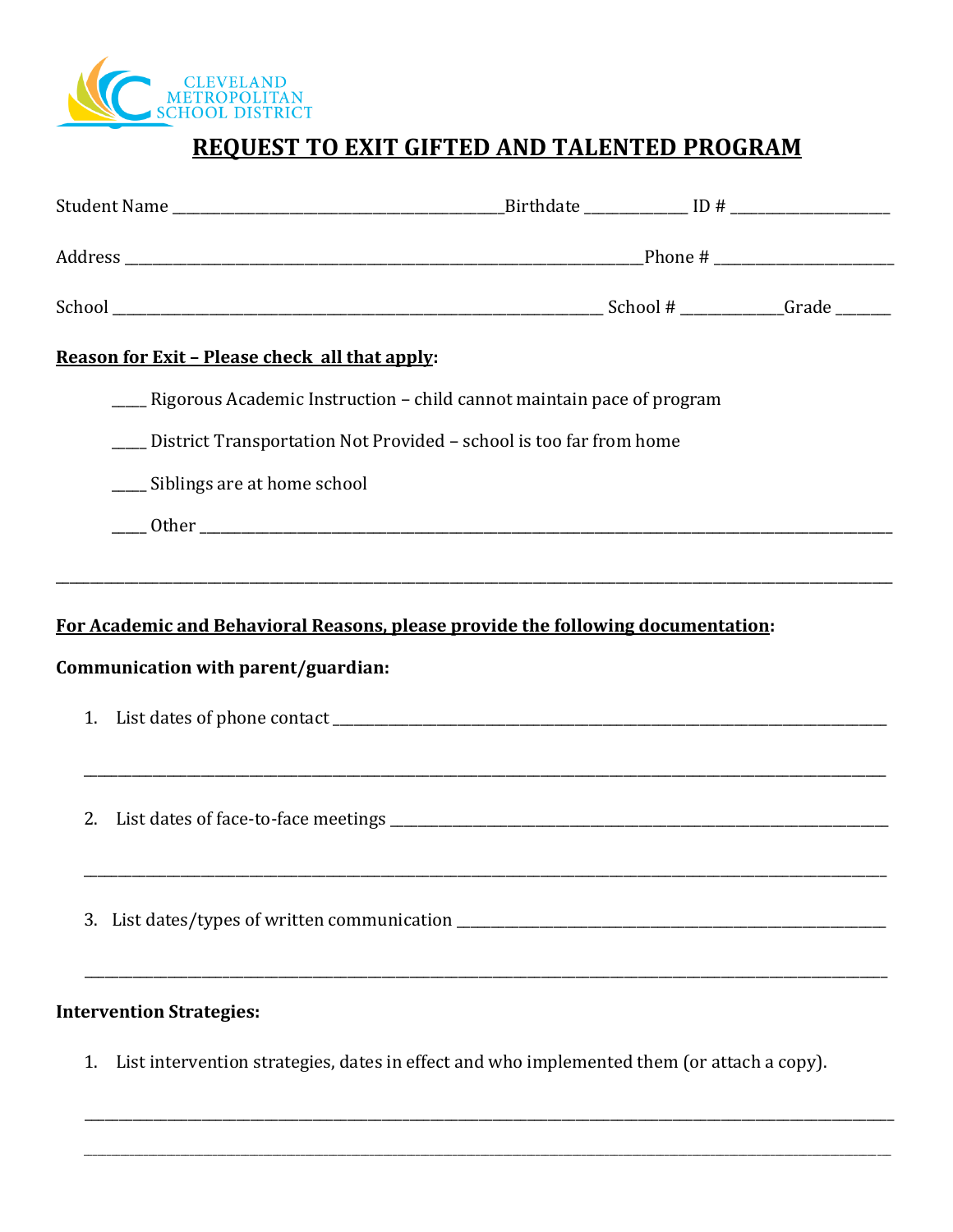

## REQUEST TO EXIT GIFTED AND TALENTED PROGRAM

| Reason for Exit - Please check all that apply:                                   |                                                                                            |  |  |  |
|----------------------------------------------------------------------------------|--------------------------------------------------------------------------------------------|--|--|--|
|                                                                                  | ____ Rigorous Academic Instruction – child cannot maintain pace of program                 |  |  |  |
|                                                                                  | ___ District Transportation Not Provided - school is too far from home                     |  |  |  |
| ____ Siblings are at home school                                                 |                                                                                            |  |  |  |
|                                                                                  |                                                                                            |  |  |  |
|                                                                                  |                                                                                            |  |  |  |
| For Academic and Behavioral Reasons, please provide the following documentation: |                                                                                            |  |  |  |
| Communication with parent/guardian:                                              |                                                                                            |  |  |  |
| 1.                                                                               |                                                                                            |  |  |  |
|                                                                                  |                                                                                            |  |  |  |
| 2.                                                                               |                                                                                            |  |  |  |
|                                                                                  |                                                                                            |  |  |  |
|                                                                                  |                                                                                            |  |  |  |
|                                                                                  | 3. List dates/types of written communication ___________________________________           |  |  |  |
|                                                                                  |                                                                                            |  |  |  |
| <b>Intervention Strategies:</b>                                                  |                                                                                            |  |  |  |
| 1.                                                                               | List intervention strategies, dates in effect and who implemented them (or attach a copy). |  |  |  |